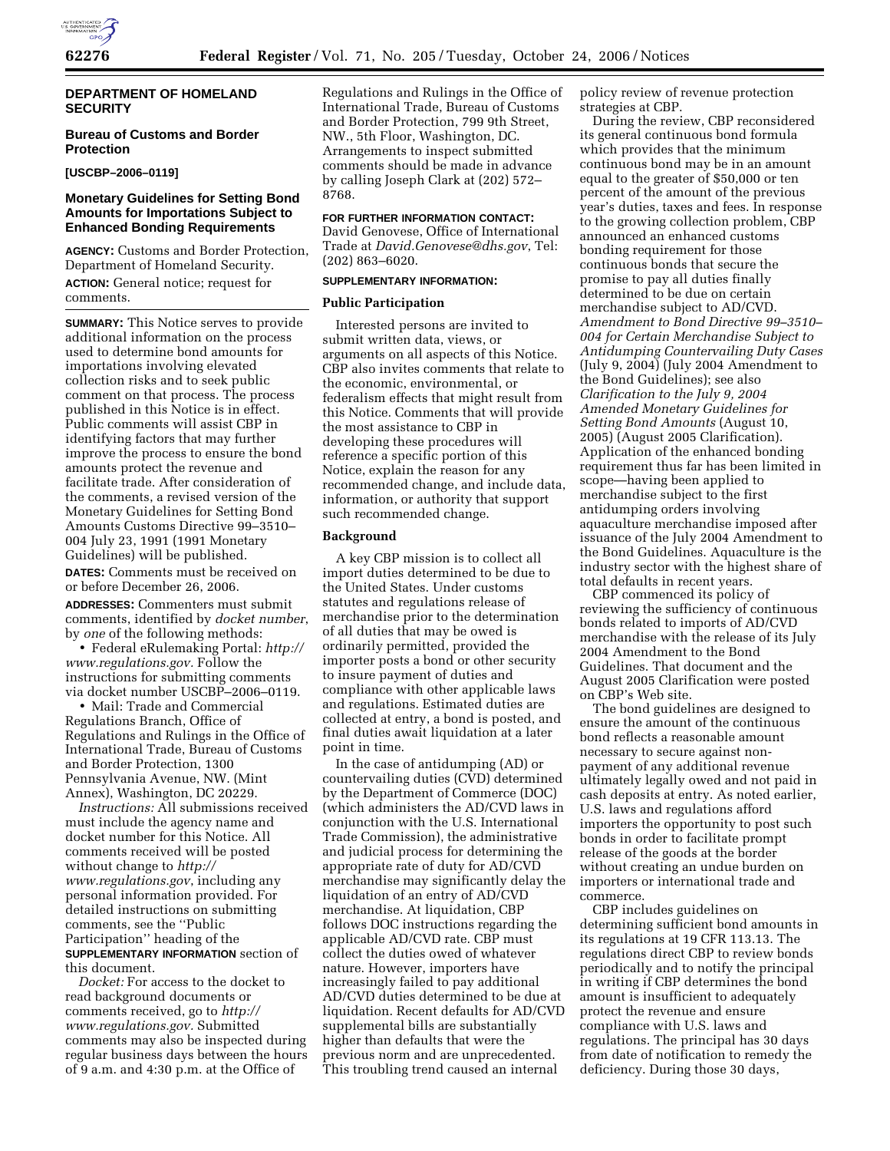

# **DEPARTMENT OF HOMELAND SECURITY**

# **Bureau of Customs and Border Protection**

### **[USCBP–2006–0119]**

# **Monetary Guidelines for Setting Bond Amounts for Importations Subject to Enhanced Bonding Requirements**

**AGENCY:** Customs and Border Protection, Department of Homeland Security. **ACTION:** General notice; request for comments.

**SUMMARY:** This Notice serves to provide additional information on the process used to determine bond amounts for importations involving elevated collection risks and to seek public comment on that process. The process published in this Notice is in effect. Public comments will assist CBP in identifying factors that may further improve the process to ensure the bond amounts protect the revenue and facilitate trade. After consideration of the comments, a revised version of the Monetary Guidelines for Setting Bond Amounts Customs Directive 99–3510– 004 July 23, 1991 (1991 Monetary Guidelines) will be published.

**DATES:** Comments must be received on or before December 26, 2006.

**ADDRESSES:** Commenters must submit comments, identified by *docket number*, by *one* of the following methods:

• Federal eRulemaking Portal: *http:// www.regulations.gov.* Follow the instructions for submitting comments via docket number USCBP–2006–0119.

• Mail: Trade and Commercial Regulations Branch, Office of Regulations and Rulings in the Office of International Trade, Bureau of Customs and Border Protection, 1300 Pennsylvania Avenue, NW. (Mint Annex), Washington, DC 20229.

*Instructions:* All submissions received must include the agency name and docket number for this Notice. All comments received will be posted without change to *http:// www.regulations.gov*, including any personal information provided. For detailed instructions on submitting comments, see the ''Public Participation'' heading of the **SUPPLEMENTARY INFORMATION** section of

this document.

*Docket:* For access to the docket to read background documents or comments received, go to *http:// www.regulations.gov.* Submitted comments may also be inspected during regular business days between the hours of 9 a.m. and 4:30 p.m. at the Office of

Regulations and Rulings in the Office of International Trade, Bureau of Customs and Border Protection, 799 9th Street, NW., 5th Floor, Washington, DC. Arrangements to inspect submitted comments should be made in advance by calling Joseph Clark at (202) 572– 8768.

### **FOR FURTHER INFORMATION CONTACT:**

David Genovese, Office of International

Trade at *David.Genovese@dhs.gov*, Tel: (202) 863–6020.

# **SUPPLEMENTARY INFORMATION:**

# **Public Participation**

Interested persons are invited to submit written data, views, or arguments on all aspects of this Notice. CBP also invites comments that relate to the economic, environmental, or federalism effects that might result from this Notice. Comments that will provide the most assistance to CBP in developing these procedures will reference a specific portion of this Notice, explain the reason for any recommended change, and include data, information, or authority that support such recommended change.

### **Background**

A key CBP mission is to collect all import duties determined to be due to the United States. Under customs statutes and regulations release of merchandise prior to the determination of all duties that may be owed is ordinarily permitted, provided the importer posts a bond or other security to insure payment of duties and compliance with other applicable laws and regulations. Estimated duties are collected at entry, a bond is posted, and final duties await liquidation at a later point in time.

In the case of antidumping (AD) or countervailing duties (CVD) determined by the Department of Commerce (DOC) (which administers the AD/CVD laws in conjunction with the U.S. International Trade Commission), the administrative and judicial process for determining the appropriate rate of duty for AD/CVD merchandise may significantly delay the liquidation of an entry of AD/CVD merchandise. At liquidation, CBP follows DOC instructions regarding the applicable AD/CVD rate. CBP must collect the duties owed of whatever nature. However, importers have increasingly failed to pay additional AD/CVD duties determined to be due at liquidation. Recent defaults for AD/CVD supplemental bills are substantially higher than defaults that were the previous norm and are unprecedented. This troubling trend caused an internal

policy review of revenue protection strategies at CBP.

During the review, CBP reconsidered its general continuous bond formula which provides that the minimum continuous bond may be in an amount equal to the greater of \$50,000 or ten percent of the amount of the previous year's duties, taxes and fees. In response to the growing collection problem, CBP announced an enhanced customs bonding requirement for those continuous bonds that secure the promise to pay all duties finally determined to be due on certain merchandise subject to AD/CVD. *Amendment to Bond Directive 99–3510– 004 for Certain Merchandise Subject to Antidumping Countervailing Duty Cases*  (July 9, 2004) (July 2004 Amendment to the Bond Guidelines); see also *Clarification to the July 9, 2004 Amended Monetary Guidelines for Setting Bond Amounts* (August 10, 2005) (August 2005 Clarification). Application of the enhanced bonding requirement thus far has been limited in scope—having been applied to merchandise subject to the first antidumping orders involving aquaculture merchandise imposed after issuance of the July 2004 Amendment to the Bond Guidelines. Aquaculture is the industry sector with the highest share of total defaults in recent years.

CBP commenced its policy of reviewing the sufficiency of continuous bonds related to imports of AD/CVD merchandise with the release of its July 2004 Amendment to the Bond Guidelines. That document and the August 2005 Clarification were posted on CBP's Web site.

The bond guidelines are designed to ensure the amount of the continuous bond reflects a reasonable amount necessary to secure against nonpayment of any additional revenue ultimately legally owed and not paid in cash deposits at entry. As noted earlier, U.S. laws and regulations afford importers the opportunity to post such bonds in order to facilitate prompt release of the goods at the border without creating an undue burden on importers or international trade and commerce.

CBP includes guidelines on determining sufficient bond amounts in its regulations at 19 CFR 113.13. The regulations direct CBP to review bonds periodically and to notify the principal in writing if CBP determines the bond amount is insufficient to adequately protect the revenue and ensure compliance with U.S. laws and regulations. The principal has 30 days from date of notification to remedy the deficiency. During those 30 days,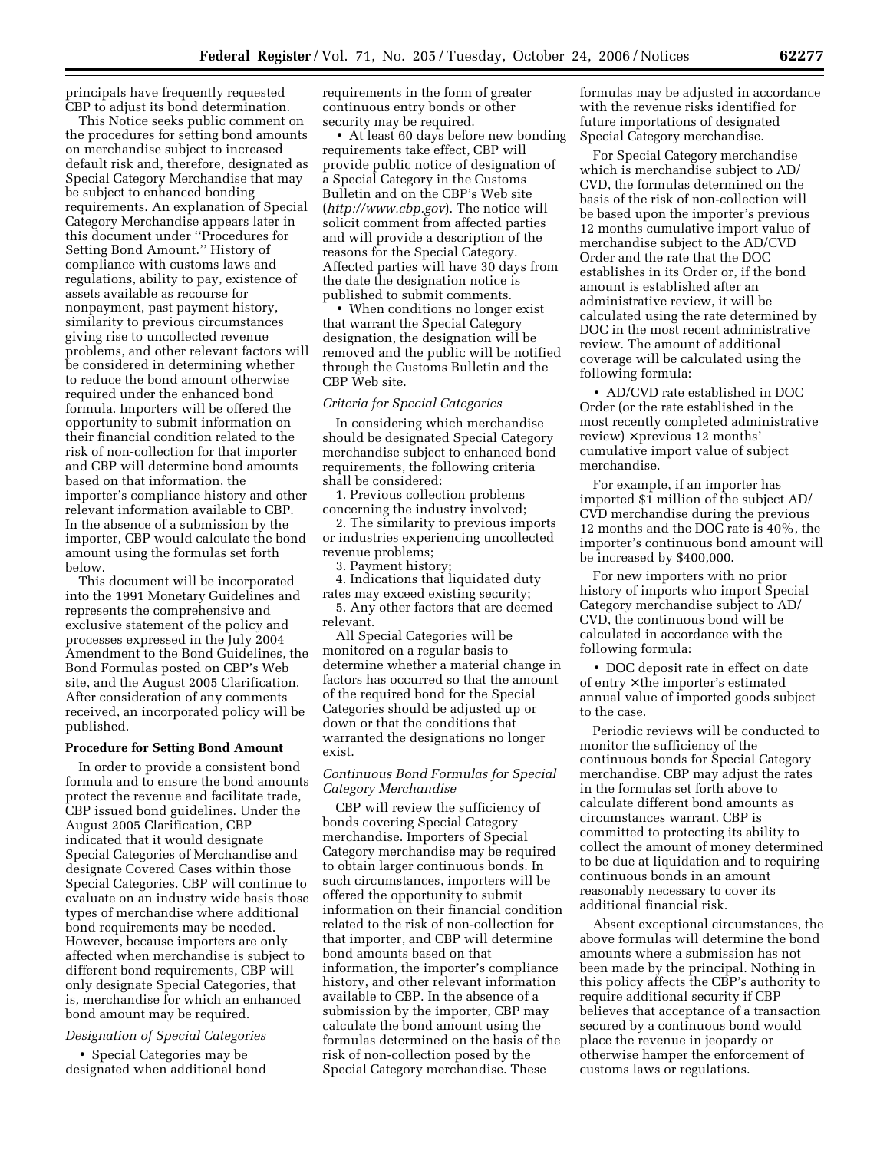principals have frequently requested CBP to adjust its bond determination.

This Notice seeks public comment on the procedures for setting bond amounts on merchandise subject to increased default risk and, therefore, designated as Special Category Merchandise that may be subject to enhanced bonding requirements. An explanation of Special Category Merchandise appears later in this document under ''Procedures for Setting Bond Amount.'' History of compliance with customs laws and regulations, ability to pay, existence of assets available as recourse for nonpayment, past payment history, similarity to previous circumstances giving rise to uncollected revenue problems, and other relevant factors will be considered in determining whether to reduce the bond amount otherwise required under the enhanced bond formula. Importers will be offered the opportunity to submit information on their financial condition related to the risk of non-collection for that importer and CBP will determine bond amounts based on that information, the importer's compliance history and other relevant information available to CBP. In the absence of a submission by the importer, CBP would calculate the bond amount using the formulas set forth below.

This document will be incorporated into the 1991 Monetary Guidelines and represents the comprehensive and exclusive statement of the policy and processes expressed in the July 2004 Amendment to the Bond Guidelines, the Bond Formulas posted on CBP's Web site, and the August 2005 Clarification. After consideration of any comments received, an incorporated policy will be published.

#### **Procedure for Setting Bond Amount**

In order to provide a consistent bond formula and to ensure the bond amounts protect the revenue and facilitate trade, CBP issued bond guidelines. Under the August 2005 Clarification, CBP indicated that it would designate Special Categories of Merchandise and designate Covered Cases within those Special Categories. CBP will continue to evaluate on an industry wide basis those types of merchandise where additional bond requirements may be needed. However, because importers are only affected when merchandise is subject to different bond requirements, CBP will only designate Special Categories, that is, merchandise for which an enhanced bond amount may be required.

# *Designation of Special Categories*

• Special Categories may be designated when additional bond requirements in the form of greater continuous entry bonds or other security may be required.

• At least 60 days before new bonding requirements take effect, CBP will provide public notice of designation of a Special Category in the Customs Bulletin and on the CBP's Web site (*http://www.cbp.gov*). The notice will solicit comment from affected parties and will provide a description of the reasons for the Special Category. Affected parties will have 30 days from the date the designation notice is published to submit comments.

• When conditions no longer exist that warrant the Special Category designation, the designation will be removed and the public will be notified through the Customs Bulletin and the CBP Web site.

# *Criteria for Special Categories*

In considering which merchandise should be designated Special Category merchandise subject to enhanced bond requirements, the following criteria shall be considered:

1. Previous collection problems concerning the industry involved;

2. The similarity to previous imports or industries experiencing uncollected revenue problems;

3. Payment history;

4. Indications that liquidated duty rates may exceed existing security; 5. Any other factors that are deemed

relevant.

All Special Categories will be monitored on a regular basis to determine whether a material change in factors has occurred so that the amount of the required bond for the Special Categories should be adjusted up or down or that the conditions that warranted the designations no longer exist.

# *Continuous Bond Formulas for Special Category Merchandise*

CBP will review the sufficiency of bonds covering Special Category merchandise. Importers of Special Category merchandise may be required to obtain larger continuous bonds. In such circumstances, importers will be offered the opportunity to submit information on their financial condition related to the risk of non-collection for that importer, and CBP will determine bond amounts based on that information, the importer's compliance history, and other relevant information available to CBP. In the absence of a submission by the importer, CBP may calculate the bond amount using the formulas determined on the basis of the risk of non-collection posed by the Special Category merchandise. These

formulas may be adjusted in accordance with the revenue risks identified for future importations of designated Special Category merchandise.

For Special Category merchandise which is merchandise subject to AD/ CVD, the formulas determined on the basis of the risk of non-collection will be based upon the importer's previous 12 months cumulative import value of merchandise subject to the AD/CVD Order and the rate that the DOC establishes in its Order or, if the bond amount is established after an administrative review, it will be calculated using the rate determined by DOC in the most recent administrative review. The amount of additional coverage will be calculated using the following formula:

• AD/CVD rate established in DOC Order (or the rate established in the most recently completed administrative review)  $\times$  previous 12 months' cumulative import value of subject merchandise.

For example, if an importer has imported \$1 million of the subject AD/ CVD merchandise during the previous 12 months and the DOC rate is 40%, the importer's continuous bond amount will be increased by \$400,000.

For new importers with no prior history of imports who import Special Category merchandise subject to AD/ CVD, the continuous bond will be calculated in accordance with the following formula:

• DOC deposit rate in effect on date of entry × the importer's estimated annual value of imported goods subject to the case.

Periodic reviews will be conducted to monitor the sufficiency of the continuous bonds for Special Category merchandise. CBP may adjust the rates in the formulas set forth above to calculate different bond amounts as circumstances warrant. CBP is committed to protecting its ability to collect the amount of money determined to be due at liquidation and to requiring continuous bonds in an amount reasonably necessary to cover its additional financial risk.

Absent exceptional circumstances, the above formulas will determine the bond amounts where a submission has not been made by the principal. Nothing in this policy affects the CBP's authority to require additional security if CBP believes that acceptance of a transaction secured by a continuous bond would place the revenue in jeopardy or otherwise hamper the enforcement of customs laws or regulations.